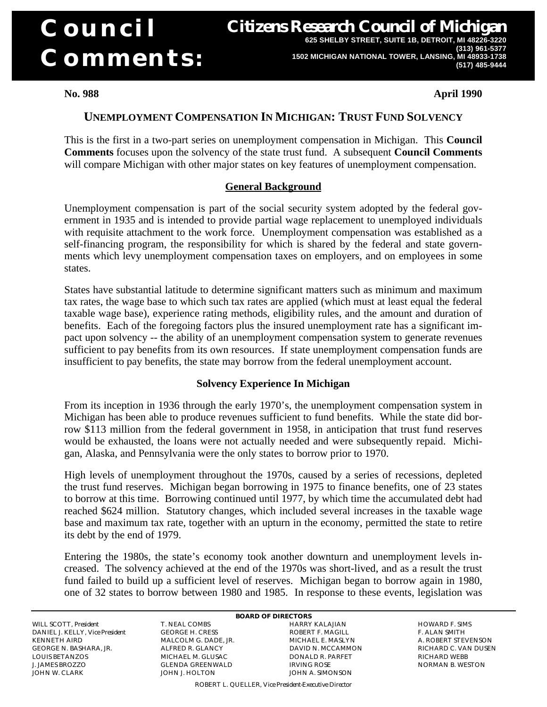# **Council Comments:**

**Citizens Research Council of Michigan 625 SHELBY STREET, SUITE 1B, DETROIT, MI 48226-3220 (313) 961-5377 1502 MICHIGAN NATIONAL TOWER, LANSING, MI 48933-1738 (517) 485-9444**

**No. 988 April 1990**

## **UNEMPLOYMENT COMPENSATION IN MICHIGAN: TRUST FUND SOLVENCY**

This is the first in a two-part series on unemployment compensation in Michigan. This **Council Comments** focuses upon the solvency of the state trust fund. A subsequent **Council Comments** will compare Michigan with other major states on key features of unemployment compensation.

## **General Background**

Unemployment compensation is part of the social security system adopted by the federal government in 1935 and is intended to provide partial wage replacement to unemployed individuals with requisite attachment to the work force. Unemployment compensation was established as a self-financing program, the responsibility for which is shared by the federal and state governments which levy unemployment compensation taxes on employers, and on employees in some states.

States have substantial latitude to determine significant matters such as minimum and maximum tax rates, the wage base to which such tax rates are applied (which must at least equal the federal taxable wage base), experience rating methods, eligibility rules, and the amount and duration of benefits. Each of the foregoing factors plus the insured unemployment rate has a significant impact upon solvency -- the ability of an unemployment compensation system to generate revenues sufficient to pay benefits from its own resources. If state unemployment compensation funds are insufficient to pay benefits, the state may borrow from the federal unemployment account.

## **Solvency Experience In Michigan**

From its inception in 1936 through the early 1970's, the unemployment compensation system in Michigan has been able to produce revenues sufficient to fund benefits. While the state did borrow \$113 million from the federal government in 1958, in anticipation that trust fund reserves would be exhausted, the loans were not actually needed and were subsequently repaid. Michigan, Alaska, and Pennsylvania were the only states to borrow prior to 1970.

High levels of unemployment throughout the 1970s, caused by a series of recessions, depleted the trust fund reserves. Michigan began borrowing in 1975 to finance benefits, one of 23 states to borrow at this time. Borrowing continued until 1977, by which time the accumulated debt had reached \$624 million. Statutory changes, which included several increases in the taxable wage base and maximum tax rate, together with an upturn in the economy, permitted the state to retire its debt by the end of 1979.

Entering the 1980s, the state's economy took another downturn and unemployment levels increased. The solvency achieved at the end of the 1970s was short-lived, and as a result the trust fund failed to build up a sufficient level of reserves. Michigan began to borrow again in 1980, one of 32 states to borrow between 1980 and 1985. In response to these events, legislation was

WILL SCOTT, President T. NEAL COMBS HARRY KALAJIAN HOWARD F. SIMS NO HOWARD F. SIMS HOWARD F. SIMS TRACH HOWARD F. SIMS DANIEL J. KELLY, Vice President KENNETH AIRD MALCOLM G. DADE, JR. MICHAEL E. MASLYN A. ROBERT STEVENSON GEORGE N. BASHARA, JR. IQUIS BETANZOS LOUIS BETANZOS MICHAEL M. GLUSAC DONALD R. PARFET RICHARD WEBB JOHN W. CLARK JOHN J. HOLTON JOHN A. SIMONSON

**BOARD OF DIRECTORS**

GLENDA GREENWALD **IRVING ROSE** NORMAN B. WESTON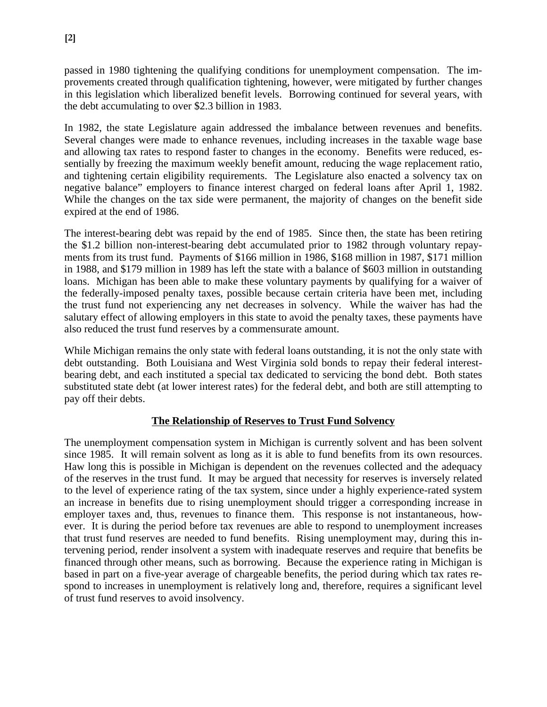passed in 1980 tightening the qualifying conditions for unemployment compensation. The improvements created through qualification tightening, however, were mitigated by further changes in this legislation which liberalized benefit levels. Borrowing continued for several years, with the debt accumulating to over \$2.3 billion in 1983.

In 1982, the state Legislature again addressed the imbalance between revenues and benefits. Several changes were made to enhance revenues, including increases in the taxable wage base and allowing tax rates to respond faster to changes in the economy. Benefits were reduced, essentially by freezing the maximum weekly benefit amount, reducing the wage replacement ratio, and tightening certain eligibility requirements. The Legislature also enacted a solvency tax on negative balance" employers to finance interest charged on federal loans after April 1, 1982. While the changes on the tax side were permanent, the majority of changes on the benefit side expired at the end of 1986.

The interest-bearing debt was repaid by the end of 1985. Since then, the state has been retiring the \$1.2 billion non-interest-bearing debt accumulated prior to 1982 through voluntary repayments from its trust fund. Payments of \$166 million in 1986, \$168 million in 1987, \$171 million in 1988, and \$179 million in 1989 has left the state with a balance of \$603 million in outstanding loans. Michigan has been able to make these voluntary payments by qualifying for a waiver of the federally-imposed penalty taxes, possible because certain criteria have been met, including the trust fund not experiencing any net decreases in solvency. While the waiver has had the salutary effect of allowing employers in this state to avoid the penalty taxes, these payments have also reduced the trust fund reserves by a commensurate amount.

While Michigan remains the only state with federal loans outstanding, it is not the only state with debt outstanding. Both Louisiana and West Virginia sold bonds to repay their federal interestbearing debt, and each instituted a special tax dedicated to servicing the bond debt. Both states substituted state debt (at lower interest rates) for the federal debt, and both are still attempting to pay off their debts.

## **The Relationship of Reserves to Trust Fund Solvency**

The unemployment compensation system in Michigan is currently solvent and has been solvent since 1985. It will remain solvent as long as it is able to fund benefits from its own resources. Haw long this is possible in Michigan is dependent on the revenues collected and the adequacy of the reserves in the trust fund. It may be argued that necessity for reserves is inversely related to the level of experience rating of the tax system, since under a highly experience-rated system an increase in benefits due to rising unemployment should trigger a corresponding increase in employer taxes and, thus, revenues to finance them. This response is not instantaneous, however. It is during the period before tax revenues are able to respond to unemployment increases that trust fund reserves are needed to fund benefits. Rising unemployment may, during this intervening period, render insolvent a system with inadequate reserves and require that benefits be financed through other means, such as borrowing. Because the experience rating in Michigan is based in part on a five-year average of chargeable benefits, the period during which tax rates respond to increases in unemployment is relatively long and, therefore, requires a significant level of trust fund reserves to avoid insolvency.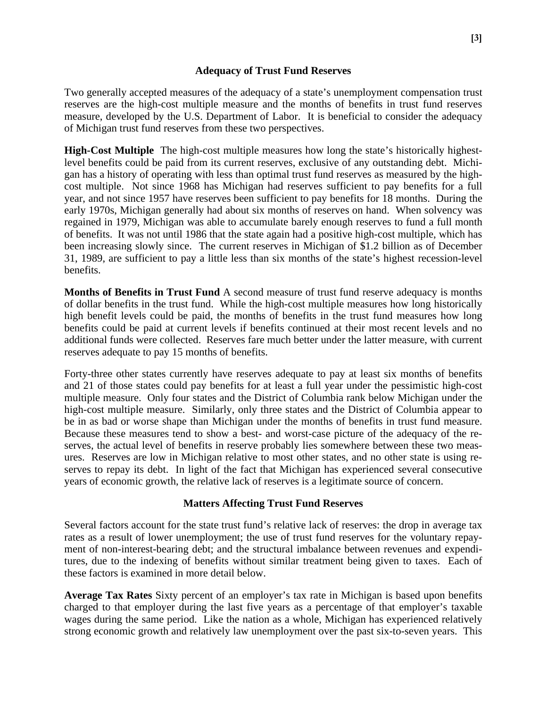#### **Adequacy of Trust Fund Reserves**

Two generally accepted measures of the adequacy of a state's unemployment compensation trust reserves are the high-cost multiple measure and the months of benefits in trust fund reserves measure, developed by the U.S. Department of Labor. It is beneficial to consider the adequacy of Michigan trust fund reserves from these two perspectives.

**High-Cost Multiple** The high-cost multiple measures how long the state's historically highestlevel benefits could be paid from its current reserves, exclusive of any outstanding debt. Michigan has a history of operating with less than optimal trust fund reserves as measured by the highcost multiple. Not since 1968 has Michigan had reserves sufficient to pay benefits for a full year, and not since 1957 have reserves been sufficient to pay benefits for 18 months. During the early 1970s, Michigan generally had about six months of reserves on hand. When solvency was regained in 1979, Michigan was able to accumulate barely enough reserves to fund a full month of benefits. It was not until 1986 that the state again had a positive high-cost multiple, which has been increasing slowly since. The current reserves in Michigan of \$1.2 billion as of December 31, 1989, are sufficient to pay a little less than six months of the state's highest recession-level benefits.

**Months of Benefits in Trust Fund** A second measure of trust fund reserve adequacy is months of dollar benefits in the trust fund. While the high-cost multiple measures how long historically high benefit levels could be paid, the months of benefits in the trust fund measures how long benefits could be paid at current levels if benefits continued at their most recent levels and no additional funds were collected. Reserves fare much better under the latter measure, with current reserves adequate to pay 15 months of benefits.

Forty-three other states currently have reserves adequate to pay at least six months of benefits and 21 of those states could pay benefits for at least a full year under the pessimistic high-cost multiple measure. Only four states and the District of Columbia rank below Michigan under the high-cost multiple measure. Similarly, only three states and the District of Columbia appear to be in as bad or worse shape than Michigan under the months of benefits in trust fund measure. Because these measures tend to show a best- and worst-case picture of the adequacy of the reserves, the actual level of benefits in reserve probably lies somewhere between these two measures. Reserves are low in Michigan relative to most other states, and no other state is using reserves to repay its debt. In light of the fact that Michigan has experienced several consecutive years of economic growth, the relative lack of reserves is a legitimate source of concern.

## **Matters Affecting Trust Fund Reserves**

Several factors account for the state trust fund's relative lack of reserves: the drop in average tax rates as a result of lower unemployment; the use of trust fund reserves for the voluntary repayment of non-interest-bearing debt; and the structural imbalance between revenues and expenditures, due to the indexing of benefits without similar treatment being given to taxes. Each of these factors is examined in more detail below.

**Average Tax Rates** Sixty percent of an employer's tax rate in Michigan is based upon benefits charged to that employer during the last five years as a percentage of that employer's taxable wages during the same period. Like the nation as a whole, Michigan has experienced relatively strong economic growth and relatively law unemployment over the past six-to-seven years. This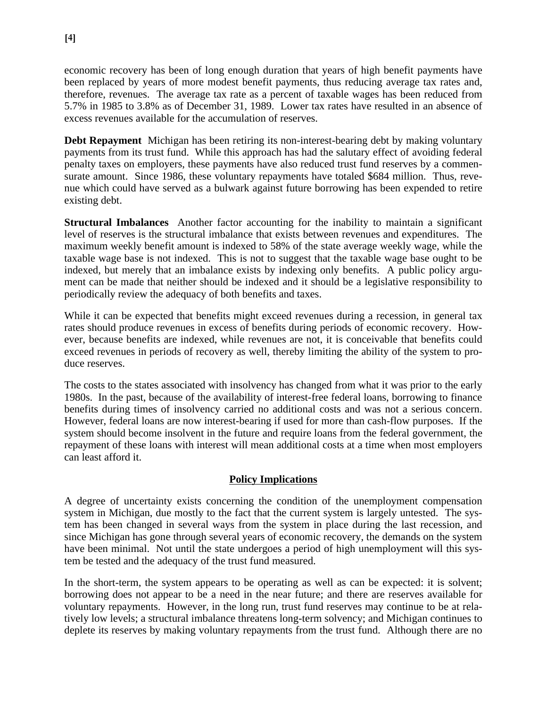economic recovery has been of long enough duration that years of high benefit payments have been replaced by years of more modest benefit payments, thus reducing average tax rates and, therefore, revenues. The average tax rate as a percent of taxable wages has been reduced from 5.7% in 1985 to 3.8% as of December 31, 1989. Lower tax rates have resulted in an absence of excess revenues available for the accumulation of reserves.

**Debt Repayment** Michigan has been retiring its non-interest-bearing debt by making voluntary payments from its trust fund. While this approach has had the salutary effect of avoiding federal penalty taxes on employers, these payments have also reduced trust fund reserves by a commensurate amount. Since 1986, these voluntary repayments have totaled \$684 million. Thus, revenue which could have served as a bulwark against future borrowing has been expended to retire existing debt.

**Structural Imbalances** Another factor accounting for the inability to maintain a significant level of reserves is the structural imbalance that exists between revenues and expenditures. The maximum weekly benefit amount is indexed to 58% of the state average weekly wage, while the taxable wage base is not indexed. This is not to suggest that the taxable wage base ought to be indexed, but merely that an imbalance exists by indexing only benefits. A public policy argument can be made that neither should be indexed and it should be a legislative responsibility to periodically review the adequacy of both benefits and taxes.

While it can be expected that benefits might exceed revenues during a recession, in general tax rates should produce revenues in excess of benefits during periods of economic recovery. However, because benefits are indexed, while revenues are not, it is conceivable that benefits could exceed revenues in periods of recovery as well, thereby limiting the ability of the system to produce reserves.

The costs to the states associated with insolvency has changed from what it was prior to the early 1980s. In the past, because of the availability of interest-free federal loans, borrowing to finance benefits during times of insolvency carried no additional costs and was not a serious concern. However, federal loans are now interest-bearing if used for more than cash-flow purposes. If the system should become insolvent in the future and require loans from the federal government, the repayment of these loans with interest will mean additional costs at a time when most employers can least afford it.

## **Policy Implications**

A degree of uncertainty exists concerning the condition of the unemployment compensation system in Michigan, due mostly to the fact that the current system is largely untested. The system has been changed in several ways from the system in place during the last recession, and since Michigan has gone through several years of economic recovery, the demands on the system have been minimal. Not until the state undergoes a period of high unemployment will this system be tested and the adequacy of the trust fund measured.

In the short-term, the system appears to be operating as well as can be expected: it is solvent; borrowing does not appear to be a need in the near future; and there are reserves available for voluntary repayments. However, in the long run, trust fund reserves may continue to be at relatively low levels; a structural imbalance threatens long-term solvency; and Michigan continues to deplete its reserves by making voluntary repayments from the trust fund. Although there are no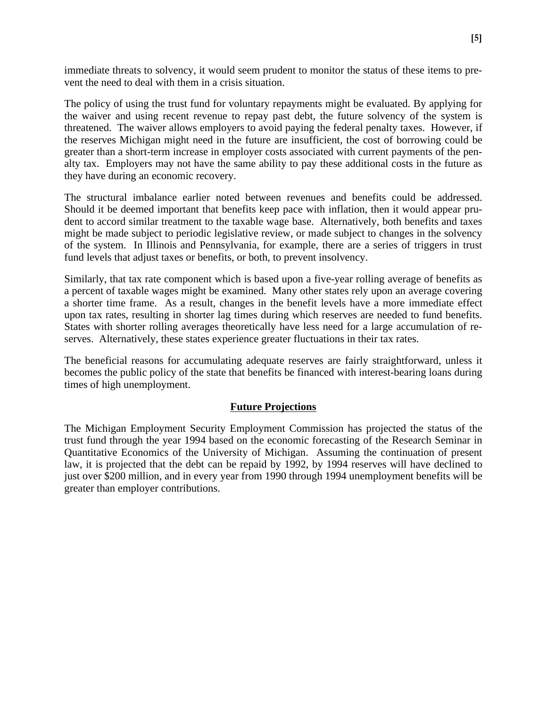immediate threats to solvency, it would seem prudent to monitor the status of these items to prevent the need to deal with them in a crisis situation.

The policy of using the trust fund for voluntary repayments might be evaluated. By applying for the waiver and using recent revenue to repay past debt, the future solvency of the system is threatened. The waiver allows employers to avoid paying the federal penalty taxes. However, if the reserves Michigan might need in the future are insufficient, the cost of borrowing could be greater than a short-term increase in employer costs associated with current payments of the penalty tax. Employers may not have the same ability to pay these additional costs in the future as they have during an economic recovery.

The structural imbalance earlier noted between revenues and benefits could be addressed. Should it be deemed important that benefits keep pace with inflation, then it would appear prudent to accord similar treatment to the taxable wage base. Alternatively, both benefits and taxes might be made subject to periodic legislative review, or made subject to changes in the solvency of the system. In Illinois and Pennsylvania, for example, there are a series of triggers in trust fund levels that adjust taxes or benefits, or both, to prevent insolvency.

Similarly, that tax rate component which is based upon a five-year rolling average of benefits as a percent of taxable wages might be examined. Many other states rely upon an average covering a shorter time frame. As a result, changes in the benefit levels have a more immediate effect upon tax rates, resulting in shorter lag times during which reserves are needed to fund benefits. States with shorter rolling averages theoretically have less need for a large accumulation of reserves. Alternatively, these states experience greater fluctuations in their tax rates.

The beneficial reasons for accumulating adequate reserves are fairly straightforward, unless it becomes the public policy of the state that benefits be financed with interest-bearing loans during times of high unemployment.

## **Future Projections**

The Michigan Employment Security Employment Commission has projected the status of the trust fund through the year 1994 based on the economic forecasting of the Research Seminar in Quantitative Economics of the University of Michigan. Assuming the continuation of present law, it is projected that the debt can be repaid by 1992, by 1994 reserves will have declined to just over \$200 million, and in every year from 1990 through 1994 unemployment benefits will be greater than employer contributions.